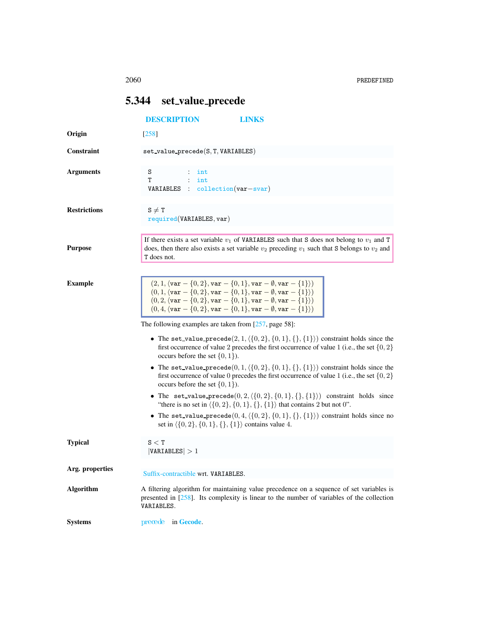## <span id="page-0-0"></span>5.344 set value precede

|                     | <b>DESCRIPTION</b><br><b>LINKS</b>                                                                                                                                                                                                                                                                                                                               |
|---------------------|------------------------------------------------------------------------------------------------------------------------------------------------------------------------------------------------------------------------------------------------------------------------------------------------------------------------------------------------------------------|
| Origin              | $[258]$                                                                                                                                                                                                                                                                                                                                                          |
| Constraint          | $set_value_{precede}(S, T, VARIABLES)$                                                                                                                                                                                                                                                                                                                           |
| <b>Arguments</b>    | S<br>int<br>т<br>int<br>$\therefore$ collection(var-svar)<br>VARIABLES                                                                                                                                                                                                                                                                                           |
| <b>Restrictions</b> | $S \neq T$<br>required(VARIABLES, var)                                                                                                                                                                                                                                                                                                                           |
| <b>Purpose</b>      | If there exists a set variable $v_1$ of VARIABLES such that S does not belong to $v_1$ and T<br>does, then there also exists a set variable $v_2$ preceding $v_1$ such that S belongs to $v_2$ and<br>T does not.                                                                                                                                                |
| <b>Example</b>      | $(2, 1, \langle var - \{0, 2\}, var - \{0, 1\}, var - \emptyset, var - \{1\}\rangle)$<br>$(0, 1, \langle var - \{0, 2\}, var - \{0, 1\}, var - \emptyset, var - \{1\}\rangle)$<br>$(0, 2, \langle var - \{0, 2\}, var - \{0, 1\}, var - \emptyset, var - \{1\}\rangle)$<br>$(0, 4, \langle var - \{0, 2\}, var - \{0, 1\}, var - \emptyset, var - \{1\}\rangle)$ |
|                     | The following examples are taken from $[257, \text{page 58}]$ :                                                                                                                                                                                                                                                                                                  |
|                     | • The set_value_precede $(2, 1, \langle \{0, 2\}, \{0, 1\}, \{\}, \{1\}\rangle)$ constraint holds since the<br>first occurrence of value 2 precedes the first occurrence of value 1 (i.e., the set $\{0, 2\}$<br>occurs before the set $\{0, 1\}$ ).                                                                                                             |
|                     | • The set_value_precede $(0, 1, \langle \{0, 2\}, \{0, 1\}, \{\}, \{1\}\rangle)$ constraint holds since the<br>first occurrence of value 0 precedes the first occurrence of value 1 (i.e., the set $\{0, 2\}$<br>occurs before the set $\{0, 1\}$ ).                                                                                                             |
|                     | • The set_value_precede $(0, 2, \langle \{0, 2\}, \{0, 1\}, \{\}, \{1\}\rangle)$ constraint holds since<br>"there is no set in $\{(0, 2), \{0, 1\}, \{\}, \{1\}\}\$ that contains 2 but not 0".                                                                                                                                                                  |
|                     | • The set_value_precede $(0,4,\langle \{0,2\}, \{0,1\}, \{\}, \{1\}\rangle)$ constraint holds since no<br>set in $\langle \{0, 2\}, \{0, 1\}, \{\}, \{1\} \rangle$ contains value 4.                                                                                                                                                                             |
| <b>Typical</b>      | $\texttt{S} < \texttt{T}$<br> VARIABLES  > 1                                                                                                                                                                                                                                                                                                                     |
| Arg. properties     | Suffix-contractible wrt. VARIABLES.                                                                                                                                                                                                                                                                                                                              |
| <b>Algorithm</b>    | A filtering algorithm for maintaining value precedence on a sequence of set variables is<br>presented in $[258]$ . Its complexity is linear to the number of variables of the collection<br>VARIABLES.                                                                                                                                                           |
| <b>Systems</b>      | precede in Gecode.                                                                                                                                                                                                                                                                                                                                               |